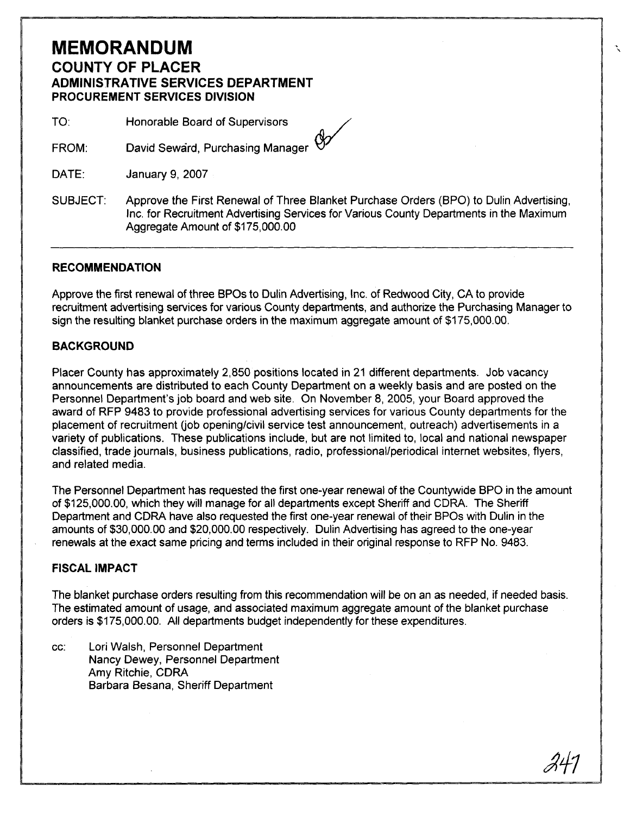## **MEMORANDUM COUNTY OF PLACER ADMINISTRATIVE SERVICES DEPARTMENT PROCUREMENT SERVICES DIVISION**

TO: Honorable Board of Supervisors

David Seward, Purchasing Manager  $\bigotimes$ FROM:

DATE: January 9,2007

SUBJECT: Approve the First Renewal of Three Blanket Purchase Orders (BPO) to Dulin Advertising, Inc. for Recruitment Advertising Services for Various County Departments in the Maximum Aggregate Amount of \$1 75,000.00

## **RECOMMENDATION**

Approve the first renewal of three BPOs to Dulin Advertising, Inc. of Redwood City, CA to provide recruitment advertising services for various County departments, and authorize the Purchasing Manager to sign the resulting blanket purchase orders in the maximum aggregate amount of \$175,000.00.

## **BACKGROUND**

Placer County has approximately 2,850 positions located in 21 different departments. Job vacancy announcements are distributed to each County Department on a weekly basis and are posted on the Personnel Department's job board and web site. On November 8, 2005, your Board approved the award of RFP 9483 to provide professional advertising services for various County departments for the placement of recruitment (job opening/civil service test announcement, outreach) advertisements in a variety of publications. These publications include, but are not limited to, local and national newspaper classified, trade journals, business publications, radio, professionallperiodical internet websites, flyers, and related media.

The Personnel Department has requested the first one-year renewal of the Countywide BPO in the amount of \$125,000.00, which they will manage for all departments except Sheriff and CDRA. The Sheriff Department and CORA have also requested the first one-year renewal of their BPOs with Dulin in the amounts of \$30,000.00 and \$20,000.00 respectively. Dulin Advertising has agreed to the one-year renewals at the exact same pricing and terms included in their original response to RFP No. 9483.

## **FISCAL IMPACT**

The blanket purchase orders resulting from this recommendation will be on an as needed, if needed basis. The estimated amount of usage, and associated maximum aggregate amount of the blanket purchase orders is \$175,000.00. All departments budget independently for these expenditures.

cc: Lori Walsh, Personnel Department Nancy Dewey, Personnel Department Amy Ritchie, CDRA Barbara Besana, Sheriff Department